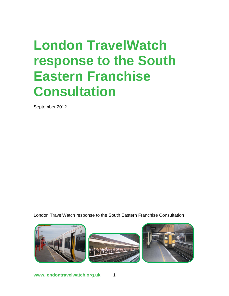# **London TravelWatch response to the South Eastern Franchise Consultation**

September 2012

London TravelWatch response to the South Eastern Franchise Consultation

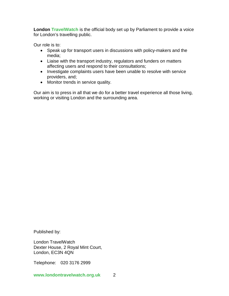**London TravelWatch** is the official body set up by Parliament to provide a voice for London's travelling public.

Our role is to:

- Speak up for transport users in discussions with policy-makers and the media;
- Liaise with the transport industry, regulators and funders on matters affecting users and respond to their consultations;
- Investigate complaints users have been unable to resolve with service providers, and;
- Monitor trends in service quality.

Our aim is to press in all that we do for a better travel experience all those living, working or visiting London and the surrounding area.

Published by:

London TravelWatch Dexter House, 2 Royal Mint Court, London, EC3N 4QN

Telephone: 020 3176 2999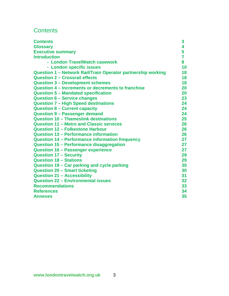# **Contents**

| <b>Contents</b>                                              | 3              |
|--------------------------------------------------------------|----------------|
| <b>Glossary</b>                                              | 4              |
| <b>Executive summary</b>                                     | 5              |
| <b>Introduction</b>                                          | $\overline{7}$ |
| - London TravelWatch casework                                | 8              |
| - London specific issues                                     | 10             |
| Question 1 - Network Rail/Train Operator partnership working | 18             |
| <b>Question 2 - Crossrail effects</b>                        | 18             |
| <b>Question 3 - Development schemes</b>                      | 18             |
| Question 4 – Increments or decrements to franchise           | 20             |
| <b>Question 5 - Mandated specification</b>                   | 20             |
| <b>Question 6 - Service changes</b>                          | 23             |
| <b>Question 7 - High Speed destinations</b>                  | 24             |
| <b>Question 8 - Current capacity</b>                         | 24             |
| <b>Question 9 - Passenger demand</b>                         | 24             |
| Question 10 - Thameslink destinations                        | 25             |
| <b>Question 11 - Metro and Classic services</b>              | 26             |
| <b>Question 12 - Folkestone Harbour</b>                      | 26             |
| Question 13 – Performance information                        | 26             |
| Question 14 – Performance information frequency              | 27             |
| Question 15 - Performance disaggregation                     | 27             |
| <b>Question 16 - Passenger experience</b>                    | 27             |
| <b>Question 17 - Security</b>                                | 29             |
| <b>Question 18 - Stations</b>                                | 29             |
| Question 19 - Car parking and cycle parking                  | 30             |
| <b>Question 20 - Smart ticketing</b>                         | 30             |
| <b>Question 21 - Accessibility</b>                           | 31             |
| <b>Question 22 - Environmental issues</b>                    | 32             |
| <b>Recommendations</b>                                       | 33             |
| <b>References</b>                                            | 34             |
| <b>Annexes</b>                                               | 35             |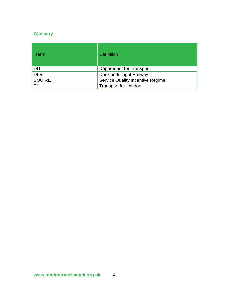# **Glossary**

| Term          | <b>Definition</b>                       |
|---------------|-----------------------------------------|
| DfT           | Department for Transport                |
| <b>DLR</b>    | Docklands Light Railway                 |
| <b>SQUIRE</b> | <b>Service Quality Incentive Regime</b> |
| TfL           | <b>Transport for London</b>             |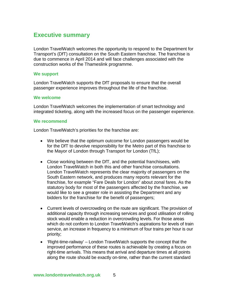# **Executive summary**

London TravelWatch welcomes the opportunity to respond to the Department for Transport's (DfT) consultation on the South Eastern franchise. The franchise is due to commence in April 2014 and will face challenges associated with the construction works of the Thameslink programme.

# **We support**

London TravelWatch supports the DfT proposals to ensure that the overall passenger experience improves throughout the life of the franchise.

#### **We welcome**

London TravelWatch welcomes the implementation of smart technology and integrated ticketing, along with the increased focus on the passenger experience.

#### **We recommend**

London TravelWatch's priorities for the franchise are:

- We believe that the optimum outcome for London passengers would be for the DfT to devolve responsibility for the Metro part of this franchise to the Mayor of London through Transport for London (TfL);
- Close working between the DfT, and the potential franchisees, with London TravelWatch in both this and other franchise consultations. London TravelWatch represents the clear majority of passengers on the South Eastern network, and produces many reports relevant for the franchise, for example "Fare Deals for London" about zonal fares. As the statutory body for most of the passengers affected by the franchise, we would like to see a greater role in assisting the Department and any bidders for the franchise for the benefit of passengers;
- Current levels of overcrowding on the route are significant. The provision of additional capacity through increasing services and good utilisation of rolling stock would enable a reduction in overcrowding levels. For those areas which do not conform to London TravelWatch's aspirations for levels of train service, an increase in frequency to a minimum of four trains per hour is our priority;
- 'Right-time-railway' London TravelWatch supports the concept that the improved performance of these routes is achievable by creating a focus on right-time arrivals. This means that arrival and departure times at all points along the route should be exactly on-time, rather than the current standard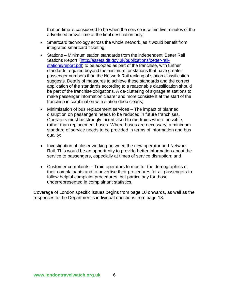that on-time is considered to be when the service is within five minutes of the advertised arrival time at the final destination only;

- Smartcard technology across the whole network, as it would benefit from integrated smartcard ticketing;
- Stations Minimum station standards from the independent 'Better Rail Stations Report' [\(http://assets.dft.gov.uk/publications/better-rail](http://assets.dft.gov.uk/publications/better-rail-stations/report.pdf)[stations/report.pdf\)](http://assets.dft.gov.uk/publications/better-rail-stations/report.pdf) to be adopted as part of the franchise, with further standards required beyond the minimum for stations that have greater passenger numbers than the Network Rail ranking of station classification suggests. Details of measures to achieve these standards and the correct application of the standards according to a reasonable classification should be part of the franchise obligations. A de-cluttering of signage at stations to make passenger information clearer and more consistent at the start of the franchise in combination with station deep cleans;
- Minimisation of bus replacement services The impact of planned disruption on passengers needs to be reduced in future franchises. Operators must be strongly incentivised to run trains where possible, rather than replacement buses. Where buses are necessary, a minimum standard of service needs to be provided in terms of information and bus quality;
- Investigation of closer working between the new operator and Network Rail. This would be an opportunity to provide better information about the service to passengers, especially at times of service disruption; and
- Customer complaints Train operators to monitor the demographics of their complainants and to advertise their procedures for all passengers to follow helpful complaint procedures, but particularly for those underrepresented in complainant statistics.

Coverage of London specific issues begins from page 10 onwards, as well as the responses to the Department's individual questions from page 18.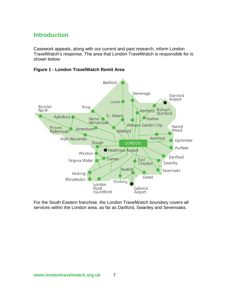# **Introduction**

Casework appeals, along with our current and past research, inform London TravelWatch's response. The area that London TravelWatch is responsible for is shown below:

**Figure 1 - London TravelWatch Remit Area**



For the South Eastern franchise, the London TravelWatch boundary covers all services within the London area, as far as Dartford, Swanley and Sevenoaks.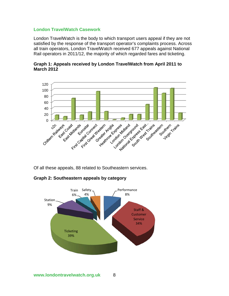# **London TravelWatch Casework**

London TravelWatch is the body to which transport users appeal if they are not satisfied by the response of the transport operator's complaints process. Across all train operators, London TravelWatch received 677 appeals against National Rail operators in 2011/12, the majority of which regarded fares and ticketing.



**Graph 1: Appeals received by London TravelWatch from April 2011 to March 2012**

Of all these appeals, 88 related to Southeastern services.

**Graph 2: Southeastern appeals by category**

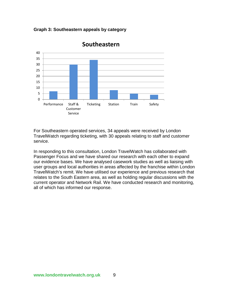**Graph 3: Southeastern appeals by category**



# **Southeastern**

For Southeastern operated services, 34 appeals were received by London TravelWatch regarding ticketing, with 30 appeals relating to staff and customer service.

In responding to this consultation, London TravelWatch has collaborated with Passenger Focus and we have shared our research with each other to expand our evidence bases. We have analysed casework studies as well as liaising with user groups and local authorities in areas affected by the franchise within London TravelWatch's remit. We have utilised our experience and previous research that relates to the South Eastern area, as well as holding regular discussions with the current operator and Network Rail. We have conducted research and monitoring, all of which has informed our response.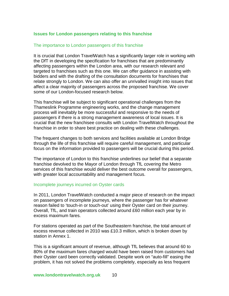# **Issues for London passengers relating to this franchise**

#### The importance to London passengers of this franchise

It is crucial that London TravelWatch has a significantly larger role in working with the DfT in developing the specification for franchises that are predominantly affecting passengers within the London area, with our research relevant and targeted to franchises such as this one. We can offer guidance in assisting with bidders and with the drafting of the consultation documents for franchises that relate strongly to London. We can also offer an unrivalled insight into issues that affect a clear majority of passengers across the proposed franchise. We cover some of our London-focused research below.

This franchise will be subject to significant operational challenges from the Thameslink Programme engineering works, and the change management process will inevitably be more successful and responsive to the needs of passengers if there is a strong management awareness of local issues. It is crucial that the new franchisee consults with London TravelWatch throughout the franchise in order to share best practice on dealing with these challenges.

The frequent changes to both services and facilities available at London Bridge through the life of this franchise will require careful management, and particular focus on the information provided to passengers will be crucial during this period.

The importance of London to this franchise underlines our belief that a separate franchise devolved to the Mayor of London through TfL covering the Metro services of this franchise would deliver the best outcome overall for passengers, with greater local accountability and management focus.

# Incomplete journeys incurred on Oyster cards

In 2011, London TravelWatch conducted a major piece of research on the impact on passengers of incomplete journeys, where the passenger has for whatever reason failed to 'touch-in or touch-out' using their Oyster card on their journey. Overall, TfL, and train operators collected around £60 million each year by in excess maximum fares.

For stations operated as part of the Southeastern franchise, the total amount of excess revenue collected in 2010 was £10.3 million, which is broken down by station in Annex 1.

This is a significant amount of revenue, although TfL believes that around 60 to 80% of the maximum fares charged would have been raised from customers had their Oyster card been correctly validated. Despite work on "auto-fill" easing the problem, it has not solved the problems completely, especially as less frequent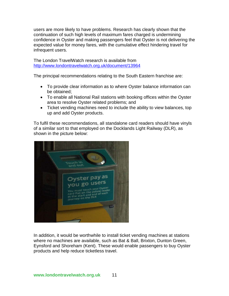users are more likely to have problems. Research has clearly shown that the continuation of such high levels of maximum fares charged is undermining confidence in Oyster and making passengers feel that Oyster is not delivering the expected value for money fares, with the cumulative effect hindering travel for infrequent users.

The London TravelWatch research is available from <http://www.londontravelwatch.org.uk/document/13964>

The principal recommendations relating to the South Eastern franchise are:

- To provide clear information as to where Oyster balance information can be obtained;
- To enable all National Rail stations with booking offices within the Oyster area to resolve Oyster related problems; and
- Ticket vending machines need to include the ability to view balances, top up and add Oyster products.

To fulfil these recommendations, all standalone card readers should have vinyls of a similar sort to that employed on the Docklands Light Railway (DLR), as shown in the picture below:



In addition, it would be worthwhile to install ticket vending machines at stations where no machines are available, such as Bat & Ball, Brixton, Dunton Green, Eynsford and Shoreham (Kent). These would enable passengers to buy Oyster products and help reduce ticketless travel.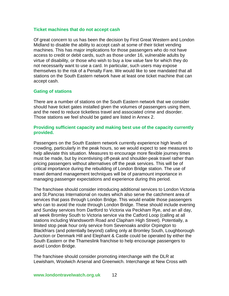#### **Ticket machines that do not accept cash**

Of great concern to us has been the decision by First Great Western and London Midland to disable the ability to accept cash at some of their ticket vending machines. This has major implications for those passengers who do not have access to credit or debit cards, such as those under 16, vulnerable adults by virtue of disability, or those who wish to buy a low value fare for which they do not necessarily want to use a card. In particular, such users may expose themselves to the risk of a Penalty Fare. We would like to see mandated that all stations on the South Eastern network have at least one ticket machine that can accept cash.

# **Gating of stations**

There are a number of stations on the South Eastern network that we consider should have ticket gates installed given the volumes of passengers using them, and the need to reduce ticketless travel and associated crime and disorder. Those stations we feel should be gated are listed in Annex 2.

# **Providing sufficient capacity and making best use of the capacity currently provided.**

Passengers on the South Eastern network currently experience high levels of crowding, particularly in the peak hours, so we would expect to see measures to help alleviate this situation. Measures to encourage more flexible journey times must be made, but by incentivising off-peak and shoulder-peak travel rather than pricing passengers without alternatives off the peak services. This will be of critical importance during the rebuilding of London Bridge station. The use of travel demand management techniques will be of paramount importance in managing passenger expectations and experience during this period.

The franchisee should consider introducing additional services to London Victoria and St.Pancras International on routes which also serve the catchment area of services that pass through London Bridge. This would enable those passengers who can to avoid the route through London Bridge. These should include evening and Sunday services from Dartford to Victoria via Peckham Rye, and an all day, all week Bromley South to Victoria service via the Catford Loop (calling at all stations including Wandsworth Road and Clapham High Street). Potentially, a limited stop peak hour only service from Sevenoaks and/or Orpington to Blackfriars (and potentially beyond) calling only at Bromley South, Loughborough Junction or Denmark Hill and Elephant & Castle could be operated by either the South Eastern or the Thameslink franchise to help encourage passengers to avoid London Bridge.

The franchisee should consider promoting interchange with the DLR at Lewisham, Woolwich Arsenal and Greenwich. Interchange at New Cross with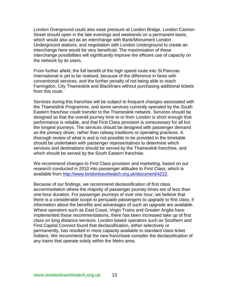London Overground could also ease pressure at London Bridge. London Cannon Street should open in the late evenings and weekends on a permanent basis, which would also act as an interchange with Bank/Monument London Underground stations, and negotiation with London Underground to create an interchange here would be very beneficial. The maximisation of these interchange possibilities will significantly improve the efficent use of capacity on the network by its users.

From further afield, the full benefit of the high speed route into St.Pancras International is yet to be realised, because of the difference in fares with conventional services, and the further penalty of not being able to reach Farringdon, City Thameslink and Blackfriars without purchasing additional tickets from this route.

Services during this franchise will be subject to frequent changes associated with the Thameslink Programme, and some services currently operated by the South Eastern franchise could transfer to the Thameslink network. Services should be designed so that the overall journey time to or from London is short enough that performance is reliable, and that First Class provision is unnecessary for all but the longest journeys. The services should be designed with passenger demand as the primary driver, rather than railway traditions or operating practices. A thorough review of what is and is not possible to be provided in the timetable should be undertaken with passenger representatives to determine which services and destinations should be served by the Thameslink franchise, and which should be served by the South Eastern franchise.

We recommend changes to First Class provision and marketing, based on our research conducted in 2010 into passenger attitudes to First Class, which is available from [http://www.londontravelwatch.org.uk/document/4222.](http://www.londontravelwatch.org.uk/document/4222)

Because of our findings, we recommend declassification of first class accommodation where the majority of passenger journey times are of less than one-hour duration. For passenger journeys of over one hour, we believe that there is a considerable scope to persuade passengers to upgrade to first class, if information about the benefits and advantages of such an upgrade are available. Where operators such as East Coast, Virgin Trains and Greater Anglia have implemented these recommendations, there has been increased take up of first class on long distance services. London based operators such as Southern and First Capital Connect found that declassification, either selectively or permanently, has resulted in more capacity available to standard class ticket holders. We recommend that the new franchisee consider the declassification of any trains that operate solely within the Metro area.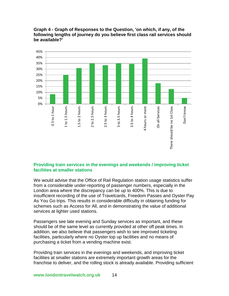

**Graph 4 - Graph of Responses to the Question, 'on which, if any, of the following lengths of journey do you believe first class rail services should be available?'**

# **Providing train services in the evenings and weekends / improving ticket facilities at smaller stations**

We would advise that the Office of Rail Regulation station usage statistics suffer from a considerable under-reporting of passenger numbers, especially in the London area where the discrepancy can be up to 400%. This is due to insufficient recording of the use of Travelcards, Freedom Passes and Oyster Pay As You Go trips. This results in considerable difficulty in obtaining funding for schemes such as Access for All, and in demonstrating the value of additional services at lighter used stations.

Passengers see late evening and Sunday services as important, and these should be of the same level as currently provided at other off peak times. In addition, we also believe that passengers wish to see improved ticketing facilities, particularly where no Oyster top up facilities and no means of purchasing a ticket from a vending machine exist.

Providing train services in the evenings and weekends, and improving ticket facilities at smaller stations are extremely important growth areas for the franchise to deliver, and the rolling stock is already available. Providing sufficient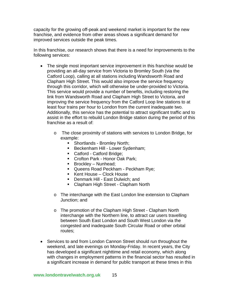capacity for the growing off-peak and weekend market is important for the new franchise, and evidence from other areas shows a significant demand for improved services outside the peak times.

In this franchise, our research shows that there is a need for improvements to the following services:

- The single most important service improvement in this franchise would be providing an all-day service from Victoria to Bromley South (via the Catford Loop), calling at all stations including Wandsworth Road and Clapham High Street. This would also improve the service frequency through this corridor, which will otherwise be under-provided to Victoria. This service would provide a number of benefits, including restoring the link from Wandsworth Road and Clapham High Street to Victoria, and improving the service frequency from the Catford Loop line stations to at least four trains per hour to London from the current inadequate two. Additionally, this service has the potential to attract significant traffic and to assist in the effort to rebuild London Bridge station during the period of this franchise as a result of:
	- o The close proximity of stations with services to London Bridge, for example:
		- Shortlands Bromley North;
		- **Beckenham Hill Lower Sydenham;**
		- Catford Catford Bridge;
		- **Crofton Park Honor Oak Park;**
		- **Brockley Nunhead;**
		- **Queens Road Peckham Peckham Rye;**
		- Kent House Clock House
		- **Denmark Hill East Dulwich: and**
		- Clapham High Street Clapham North
	- o The interchange with the East London line extension to Clapham Junction; and
	- o The promotion of the Clapham High Street Clapham North interchange with the Northern line, to attract car users travelling between South East London and South West London via the congested and inadequate South Circular Road or other orbital routes;
- Services to and from London Cannon Street should run throughout the weekend, and late evenings on Monday-Friday. In recent years, the City has developed a significant nighttime and retail economy, which along with changes in employment patterns in the financial sector has resulted in a significant increase in demand for public transport at these times in this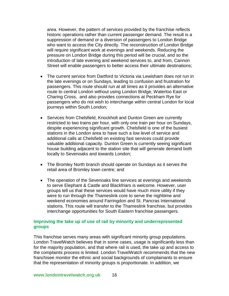area. However, the pattern of services provided by the franchise reflects historic operations rather than current passenger demand. The result is a suppression of demand or a diversion of passengers to London Bridge who want to access the City directly. The reconstruction of London Bridge will require significant work at evenings and weekends. Reducing the pressure on London Bridge during this period will be crucial, and so the introduction of late evening and weekend services to, and from, Cannon Street will enable passengers to better access their ultimate destinations;

- The current service from Dartford to Victoria via Lewisham does not run in the late evenings or on Sundays, leading to confusion and frustration for passengers. This route should run at all times as it provides an alternative route to central London without using London Bridge, Waterloo East or Charing Cross, and also provides connections at Peckham Rye for passengers who do not wish to interchange within central London for local journeys within South London;
- Services from Chelsfield, Knockholt and Dunton Green are currently restricted to two trains per hour, with only one train per hour on Sundays, despite experiencing significant growth. Chelsfield is one of the busiest stations in the London area to have such a low level of service and additional calls at Chelsfield on existing fast services could provide valuable additional capacity. Dunton Green is currently seeing significant house building adjacent to the station site that will generate demand both locally to Sevenoaks and towards London;
- The Bromley North branch should operate on Sundays as it serves the retail area of Bromley town centre; and
- The operation of the Sevenoaks line services at evenings and weekends to serve Elephant & Castle and Blackfriars is welcome. However, user groups tell us that these services would have much more utility if they were to run through the Thameslink core to serve the nighttime and weekend economies around Farringdon and St. Pancras International stations. This route will transfer to the Thameslink franchise, but provides interchange opportunities for South Eastern franchise passengers.

# **Improving the take up of use of rail by minority and underrepresented groups**

This franchise serves many areas with significant minority group populations. London TravelWatch believes that in some cases, usage is significantly less than for the majority population, and that where rail is used, the take up and access to the complaints process is limited. London TravelWatch recommends that the new franchisee monitor the ethnic and social backgrounds of complainants to ensure that the representation of minority groups is proportionate. In addition, we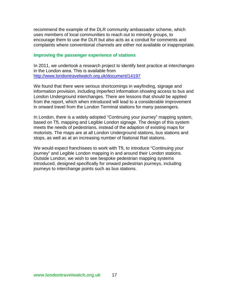recommend the example of the DLR community ambassador scheme, which uses members of local communities to reach out to minority groups, to encourage them to use the DLR but also acts as a conduit for comments and complaints where conventional channels are either not available or inappropriate.

#### **Improving the passenger experience of stations**

In 2011, we undertook a research project to identify best practice at interchanges in the London area. This is available from <http://www.londontravelwatch.org.uk/document/14197>

We found that there were serious shortcomings in wayfinding, signage and information provision, including imperfect information showing access to bus and London Underground interchanges. There are lessons that should be applied from the report, which when introduced will lead to a considerable improvement in onward travel from the London Terminal stations for many passengers.

In London, there is a widely adopted "Continuing your journey" mapping system, based on TfL mapping and Legible London signage. The design of this system meets the needs of pedestrians, instead of the adaption of existing maps for motorists. The maps are at all London Underground stations, bus stations and stops, as well as at an increasing number of National Rail stations.

We would expect franchisees to work with TfL to introduce "Continuing your journey" and Legible London mapping in and around their London stations. Outside London, we wish to see bespoke pedestrian mapping systems introduced, designed specifically for onward pedestrian journeys, including journeys to interchange points such as bus stations.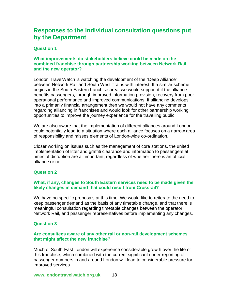# **Responses to the individual consultation questions put by the Department**

# **Question 1**

# **What improvements do stakeholders believe could be made on the combined franchise through partnership working between Network Rail and the new operator?**

London TravelWatch is watching the development of the "Deep Alliance" between Network Rail and South West Trains with interest. If a similar scheme begins in the South Eastern franchise area, we would support it if the alliance benefits passengers, through improved information provision, recovery from poor operational performance and improved communications. If alliancing develops into a primarily financial arrangement then we would not have any comments regarding alliancing in franchises and would look for other partnership working opportunities to improve the journey experience for the travelling public.

We are also aware that the implementation of different alliances around London could potentially lead to a situation where each alliance focuses on a narrow area of responsibility and misses elements of London-wide co-ordination.

Closer working on issues such as the management of core stations, the united implementation of litter and graffiti clearance and information to passengers at times of disruption are all important, regardless of whether there is an official alliance or not.

# **Question 2**

# **What, if any, changes to South Eastern services need to be made given the likely changes in demand that could result from Crossrail?**

We have no specific proposals at this time. We would like to reiterate the need to keep passenger demand as the basis of any timetable change, and that there is meaningful consultation regarding timetable changes between the operator, Network Rail, and passenger representatives before implementing any changes.

# **Question 3**

# **Are consultees aware of any other rail or non-rail development schemes that might affect the new franchise?**

Much of South-East London will experience considerable growth over the life of this franchise, which combined with the current significant under reporting of passenger numbers in and around London will lead to considerable pressure for improved services.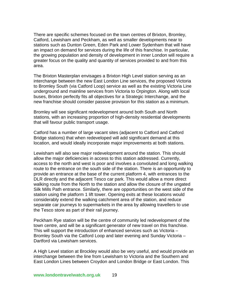There are specific schemes focused on the town centres of Brixton, Bromley, Catford, Lewisham and Peckham, as well as smaller developments near to stations such as Dunton Green, Eden Park and Lower Sydenham that will have an impact on demand for services during the life of this franchise. In particular, the growing population and density of development in inner London will require a greater focus on the quality and quantity of services provided to and from this area.

The Brixton Masterplan envisages a Brixton High Level station serving as an interchange between the new East London Line services, the proposed Victoria to Bromley South (via Catford Loop) service as well as the existing Victoria Line underground and mainline services from Victoria to Orpington. Along with local buses, Brixton perfectly fits all objectives for a Strategic Interchange, and the new franchise should consider passive provision for this station as a minimum.

Bromley will see significant redevelopment around both South and North stations, with an increasing proportion of high-density residential developments that will favour public transport usage.

Catford has a number of large vacant sites (adjacent to Catford and Catford Bridge stations) that when redeveloped will add significant demand at this location, and would ideally incorporate major improvements at both stations.

Lewisham will also see major redevelopment around the station. This should allow the major deficiencies in access to this station addressed. Currently, access to the north and west is poor and involves a convoluted and long walking route to the entrance on the south side of the station. There is an opportunity to provide an entrance at the base of the current platform 4, with entrances to the DLR directly and the adjacent Tesco car park. This would allow a more direct walking route from the North to the station and allow the closure of the ungated Silk Mills Path entrance. Similarly, there are opportunities on the west side of the station using the platform 1 lift tower. Opening exits at these locations would considerably extend the walking catchment area of the station, and reduce separate car journeys to supermarkets in the area by allowing travellers to use the Tesco store as part of their rail journey.

Peckham Rye station will be the centre of community led redevelopment of the town centre, and will be a significant generator of new travel on this franchise. This will support the introduction of enhanced services such as Victoria – Bromley South via the Catford Loop and later evening and Sunday Victoria – Dartford via Lewisham services.

A High Level station at Brockley would also be very useful, and would provide an interchange between the line from Lewisham to Victoria and the Southern and East London Lines between Croydon and London Bridge or East London. This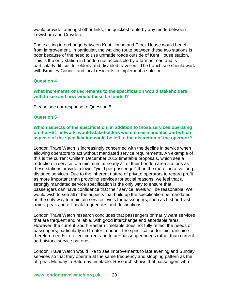would provide, amongst other links, the quickest route by any mode between Lewisham and Croydon.

The existing interchange between Kent House and Clock House would benefit from improvement. In particular, the walking route between these two stations is poor because of the need to use unmade roads outside of Kent House station. This is the only station in London not accessible by a tarmac road and is particularly difficult for elderly and disabled travellers. The franchisee should work with Bromley Council and local residents to implement a solution.

# **Question 4**

**What increments or decrements to the specification would stakeholders with to see and how would these be funded?**

Please see our response to Question 5.

# **Question 5**

**Which aspects of the specification, in addition to those services operating on the HS1 network, would stakeholders wish to see mandated and which aspects of the specification could be left to the discretion of the operator?**

London TravelWatch is increasingly concerned with the decline in service when allowing operators to act without mandated service requirements. An example of this is the current Chiltern December 2012 timetable proposals, which see a reduction in service to a minimum at nearly all of their London area stations as these stations provide a lower "yield per passenger" than the more lucrative long distance services. Due to the inherent nature of private operators to regard profit as more important than providing services for social reasons, we feel that a strongly mandated service specification is the only way to ensure that passengers can have confidence that their service levels will be reasonable. We would wish to see all of the aspects that build up the specification be mandated as the only way to maintain service levels for passengers, such as first and last trains, peak and off-peak frequencies and destinations.

London TravelWatch research concludes that passengers primarily want services that are frequent and reliable, with good interchange and affordable fares. However, the current South Eastern timetable does not fully reflect the needs of passengers, particularly in Greater London. The specification for this franchise therefore needs to reflect current and future passenger needs rather than current and historic service patterns.

London TravelWatch would like to see improvements to late evening and Sunday services so that they operate at the same frequency and stopping pattern as the off-peak Monday to Saturday timetable. Research shows that passengers who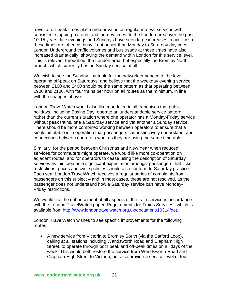travel at off-peak times place greater value on regular interval services with consistent stopping patterns and journey times. In the London area over the past 10-15 years, late evenings and Sundays have seen large increases in activity so these times are often as busy if not busier than Monday to Saturday daytimes. London Underground traffic volumes and bus usage at these times have also increased dramatically, showing the demand within London for this service level. This is relevant throughout the London area, but especially the Bromley North branch, which currently has no Sunday service at all.

We wish to see the Sunday timetable for the network enhanced to the level operating off-peak on Saturdays, and believe that the weekday evening service between 2100 and 2400 should be the same pattern as that operating between 1900 and 2100, with four trains per hour on all routes as the minimum, in line with the changes above.

London TravelWatch would also like mandated in all franchises that public holidays, including Boxing Day, operate an understandable service pattern, rather than the current situation where one operator has a Monday-Friday service without peak trains, one a Saturday service and yet another a Sunday service. There should be more combined working between operators to ensure that a single timetable is in operation that passengers can instinctively understand, and connections between operators work as they are using the same timetable.

Similarly, for the period between Christmas and New Year when reduced services for commuters might operate, we would like more co-operation on adjacent routes, and for operators to cease using the description of Saturday services as this creates a significant expectation amongst passengers that ticket restrictions, prices and cycle policies should also conform to Saturday practice. Each year London TravelWatch receives a regular series of complaints from passengers on this subject – and in most cases, these are not resolved, as the passenger does not understand how a Saturday service can have Monday-Friday restrictions.

We would like the enhancement of all aspects of the train service in accordance with the London TravelWatch paper 'Requirements for Trains Services', which is available from [http://www.londontravelwatch.org.uk/document/10314/get.](http://www.londontravelwatch.org.uk/document/10314/get)

London TravelWatch wishes to see specific improvements for the following routes:

• A new service from Victoria to Bromley South (via the Catford Loop), calling at all stations including Wandsworth Road and Clapham High Street, to operate through both peak and off-peak times on all days of the week. This would both restore the service from Wandsworth Road and Clapham High Street to Victoria, but also provide a service level of four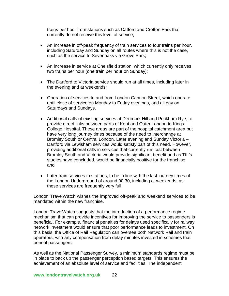trains per hour from stations such as Catford and Crofton Park that currently do not receive this level of service;

- An increase in off-peak frequency of train services to four trains per hour, including Saturday and Sunday on all routes where this is not the case, such as the service to Sevenoaks via Grove Park;
- An increase in service at Chelsfield station, which currently only receives two trains per hour (one train per hour on Sunday);
- The Dartford to Victoria service should run at all times, including later in the evening and at weekends;
- Operation of services to and from London Cannon Street, which operate until close of service on Monday to Friday evenings, and all day on Saturdays and Sundays.
- Additional calls of existing services at Denmark Hill and Peckham Rye, to provide direct links between parts of Kent and Outer London to Kings College Hospital. These areas are part of the hospital catchment area but have very long journey times because of the need to interchange at Bromley South or Central London. Later evening and Sunday Victoria – Dartford via Lewisham services would satisfy part of this need. However, providing additional calls in services that currently run fast between Bromley South and Victoria would provide significant benefit and as TfL's studies have concluded, would be financially positive for the franchise; and
- Later train services to stations, to be in line with the last journey times of the London Underground of around 00:30, including at weekends, as these services are frequently very full.

London TravelWatch wishes the improved off-peak and weekend services to be mandated within the new franchise.

London TravelWatch suggests that the introduction of a performance regime mechanism that can provide incentives for improving the service to passengers is beneficial. For example, financial penalties for delays used specifically for railway network investment would ensure that poor performance leads to investment. On this basis, the Office of Rail Regulation can oversee both Network Rail and train operators, with any compensation from delay minutes invested in schemes that benefit passengers.

As well as the National Passenger Survey, a minimum standards regime must be in place to back up the passenger perception based targets. This ensures the achievement of an absolute level of service and facilities. The independent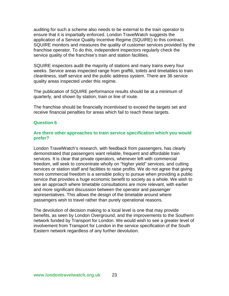auditing for such a scheme also needs to be external to the train operator to ensure that it is impartially enforced. London TravelWatch suggests the application of a Service Quality Incentive Regime (SQUIRE) to this contract. SQUIRE monitors and measures the quality of customer services provided by the franchise operator. To do this, independent inspectors regularly check the service quality of the franchise's train and station facilities.

SQUIRE inspectors audit the majority of stations and many trains every four weeks. Service areas inspected range from graffiti, toilets and timetables to train cleanliness, staff service and the public address system. There are 36 service quality areas inspected under this regime.

The publication of SQUIRE performance results should be at a minimum of quarterly, and shown by station, train or line of route.

The franchise should be financially incentivised to exceed the targets set and receive financial penalties for areas which fail to reach these targets.

#### **Question 6**

#### **Are there other approaches to train service specification which you would prefer?**

London TravelWatch's research, with feedback from passengers, has clearly demonstrated that passengers want reliable, frequent and affordable train services. It is clear that private operators, whenever left with commercial freedom, will seek to concentrate wholly on "higher yield" services, and cutting services or station staff and facilities to raise profits. We do not agree that giving more commercial freedom is a sensible policy to pursue when providing a public service that provides a huge economic benefit to society as a whole. We wish to see an approach where timetable consultations are more relevant, with earlier and more significant discussion between the operator and passenger representatives. This allows the design of the timetable around where passengers wish to travel rather than purely operational reasons.

The devolution of decision making to a local level is one that may provide benefits, as seen by London Overground, and the improvements to the Southern network funded by Transport for London. We would wish to see a greater level of involvement from Transport for London in the service specification of the South Eastern network regardless of any further devolution.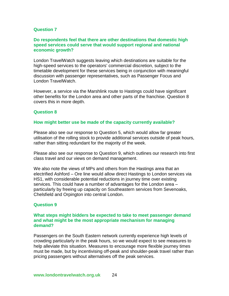#### **Question 7**

#### **Do respondents feel that there are other destinations that domestic high speed services could serve that would support regional and national economic growth?**

London TravelWatch suggests leaving which destinations are suitable for the high-speed services to the operators' commercial discretion, subject to the timetable development for these services being in conjunction with meaningful discussion with passenger representatives, such as Passenger Focus and London TravelWatch.

However, a service via the Marshlink route to Hastings could have significant other benefits for the London area and other parts of the franchise. Question 8 covers this in more depth.

#### **Question 8**

#### **How might better use be made of the capacity currently available?**

Please also see our response to Question 5, which would allow far greater utilisation of the rolling stock to provide additional services outside of peak hours, rather than sitting redundant for the majority of the week.

Please also see our response to Question 9, which outlines our research into first class travel and our views on demand management.

We also note the views of MPs and others from the Hastings area that an electrified Ashford – Ore line would allow direct Hastings to London services via HS1, with considerable potential reductions in journey time over existing services. This could have a number of advantages for the London area – particularly by freeing up capacity on Southeastern services from Sevenoaks, Chelsfield and Orpington into central London.

#### **Question 9**

#### **What steps might bidders be expected to take to meet passenger demand and what might be the most appropriate mechanism for managing demand?**

Passengers on the South Eastern network currently experience high levels of crowding particularly in the peak hours, so we would expect to see measures to help alleviate this situation. Measures to encourage more flexible journey times must be made, but by incentivising off-peak and shoulder-peak travel rather than pricing passengers without alternatives off the peak services.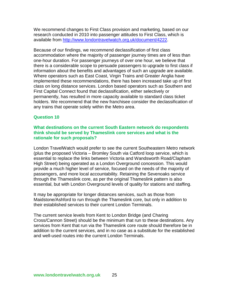We recommend changes to First Class provision and marketing, based on our research conducted in 2010 into passenger attitudes to First Class, which is available from [http://www.londontravelwatch.org.uk/document/4222.](http://www.londontravelwatch.org.uk/document/4222)

Because of our findings, we recommend declassification of first class accommodation where the majority of passenger journey times are of less than one-hour duration. For passenger journeys of over one hour, we believe that there is a considerable scope to persuade passengers to upgrade to first class if information about the benefits and advantages of such an upgrade are available. Where operators such as East Coast, Virgin Trains and Greater Anglia have implemented these recommendations, there has been increased take up of first class on long distance services. London based operators such as Southern and First Capital Connect found that declassification, either selectively or permanently, has resulted in more capacity available to standard class ticket holders. We recommend that the new franchisee consider the declassification of any trains that operate solely within the Metro area.

# **Question 10**

# **What destinations on the current South Eastern network do respondents think should be served by Thameslink core services and what is the rationale for such proposals?**

London TravelWatch would prefer to see the current Southeastern Metro network (plus the proposed Victoria – Bromley South via Catford loop service, which is essential to replace the links between Victoria and Wandsworth Road/Clapham High Street) being operated as a London Overground concession. This would provide a much higher level of service, focused on the needs of the majority of passengers, and more local accountability. Retaining the Sevenoaks service through the Thameslink core, as per the original Thameslink pattern is also essential, but with London Overground levels of quality for stations and staffing.

It may be appropriate for longer distances services, such as those from Maidstone/Ashford to run through the Thameslink core, but only in addition to their established services to their current London Terminals.

The current service levels from Kent to London Bridge (and Charing Cross/Cannon Street) should be the minimum that run to these destinations. Any services from Kent that run via the Thameslink core route should therefore be in addition to the current services, and in no case as a substitute for the established and well-used routes into the current London Terminals.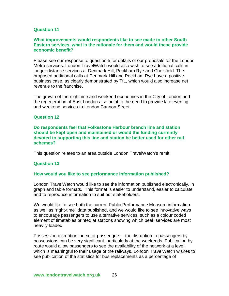#### **Question 11**

#### **What improvements would respondents like to see made to other South Eastern services, what is the rationale for them and would these provide economic benefit?**

Please see our response to question 5 for details of our proposals for the London Metro services. London TravelWatch would also wish to see additional calls in longer distance services at Denmark Hill, Peckham Rye and Chelsfield. The proposed additional calls at Denmark Hill and Peckham Rye have a positive business case, as clearly demonstrated by TfL, which would also increase net revenue to the franchise.

The growth of the nighttime and weekend economies in the City of London and the regeneration of East London also point to the need to provide late evening and weekend services to London Cannon Street.

#### **Question 12**

**Do respondents feel that Folkestone Harbour branch line and station should be kept open and maintained or would the funding currently devoted to supporting this line and station be better used for other rail schemes?**

This question relates to an area outside London TravelWatch's remit.

#### **Question 13**

#### **How would you like to see performance information published?**

London TravelWatch would like to see the information published electronically, in graph and table formats. This format is easier to understand, easier to calculate and to reproduce information to suit our stakeholders.

We would like to see both the current Public Performance Measure information as well as "right-time" data published, and we would like to see innovative ways to encourage passengers to use alternative services, such as a colour coded element of timetables printed at stations showing which peak services are most heavily loaded.

Possession disruption index for passengers – the disruption to passengers by possessions can be very significant, particularly at the weekends. Publication by route would allow passengers to see the availability of the network at a level, which is meaningful to their usage of the railways. London TravelWatch wishes to see publication of the statistics for bus replacements as a percentage of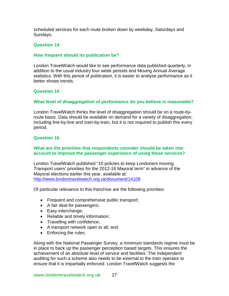scheduled services for each route broken down by weekday, Saturdays and Sundays.

#### **Question 14**

#### **How frequent should its publication be?**

London TravelWatch would like to see performance data published quarterly, in addition to the usual industry four week periods and Moving Annual Average statistics. With this period of publication, it is easier to analyse performance as it better shows trends.

#### **Question 15**

#### **What level of disaggregation of performance do you believe is reasonable?**

London TravelWatch thinks the level of disaggregation should be on a route-byroute basis. Data should be available on demand for a variety of disaggregation, including line-by-line and train-by-train, but it is not required to publish this every period.

#### **Question 16**

#### **What are the priorities that respondents consider should be taken into account to improve the passenger experience of using these services?**

London TravelWatch published "10 policies to keep Londoners moving: Transport users' priorities for the 2012-16 Mayoral term" in advance of the Mayoral elections earlier this year, available at: <http://www.londontravelwatch.org.uk/document/14109>

Of particular relevance to this franchise are the following priorities:

- Frequent and comprehensive public transport;
- A fair deal for passengers;
- Easy interchange;
- Reliable and timely information;
- Travelling with confidence;
- A transport network open to all; and
- Enforcing the rules.

Along with the National Passenger Survey, a minimum standards regime must be in place to back up the passenger perception based targets. This ensures the achievement of an absolute level of service and facilities. The independent auditing for such a scheme also needs to be external to the train operator to ensure that it is impartially enforced. London TravelWatch suggests the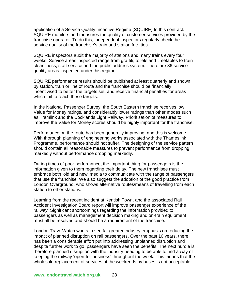application of a Service Quality Incentive Regime (SQUIRE) to this contract. SQUIRE monitors and measures the quality of customer services provided by the franchise operator. To do this, independent inspectors regularly check the service quality of the franchise's train and station facilities.

SQUIRE inspectors audit the majority of stations and many trains every four weeks. Service areas inspected range from graffiti, toilets and timetables to train cleanliness, staff service and the public address system. There are 36 service quality areas inspected under this regime.

SQUIRE performance results should be published at least quarterly and shown by station, train or line of route and the franchise should be financially incentivised to better the targets set, and receive financial penalties for areas which fail to reach these targets.

In the National Passenger Survey, the South Eastern franchise receives low Value for Money ratings, and considerably lower ratings than other modes such as Tramlink and the Docklands Light Railway. Prioritisation of measures to improve the Value for Money scores should be highly important for the franchise.

Performance on the route has been generally improving, and this is welcome. With thorough planning of engineering works associated with the Thameslink Programme, performance should not suffer. The designing of the service pattern should contain all reasonable measures to prevent performance from dropping markedly without performance dropping markedly.

During times of poor performance, the important thing for passengers is the information given to them regarding their delay. The new franchisee must embrace both 'old and new' media to communicate with the range of passengers that use the franchise. We also suggest the adoption of the good practice from London Overground, who shows alternative routes/means of travelling from each station to other stations.

Learning from the recent incident at Kentish Town, and the associated Rail Accident Investigation Board report will improve passenger experience of the railway. Significant shortcomings regarding the information provided to passengers as well as management decision making and on-train equipment must all be resolved and should be a requirement of the franchise.

London TravelWatch wants to see far greater industry emphasis on reducing the impact of planned disruption on rail passengers. Over the past 10 years, there has been a considerable effort put into addressing unplanned disruption and despite further work to go, passengers have seen the benefits. The next hurdle is therefore planned disruption with the industry needing to be able to find a way of keeping the railway 'open-for-business' throughout the week. This means that the wholesale replacement of services at the weekends by buses is not acceptable.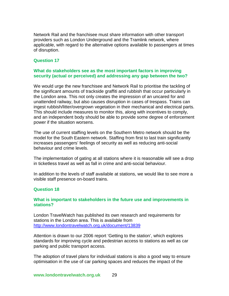Network Rail and the franchisee must share information with other transport providers such as London Underground and the Tramlink network, where applicable, with regard to the alternative options available to passengers at times of disruption.

# **Question 17**

# **What do stakeholders see as the most important factors in improving security (actual or perceived) and addressing any gap between the two?**

We would urge the new franchisee and Network Rail to prioritise the tackling of the significant amounts of trackside graffiti and rubbish that occur particularly in the London area. This not only creates the impression of an uncared for and unattended railway, but also causes disruption in cases of trespass. Trains can ingest rubbish/litter/overgrown vegetation in their mechanical and electrical parts. This should include measures to monitor this, along with incentives to comply, and an independent body should be able to provide some degree of enforcement power if the situation worsens.

The use of current staffing levels on the Southern Metro network should be the model for the South Eastern network. Staffing from first to last train significantly increases passengers' feelings of security as well as reducing anti-social behaviour and crime levels.

The implementation of gating at all stations where it is reasonable will see a drop in ticketless travel as well as fall in crime and anti-social behaviour.

In addition to the levels of staff available at stations, we would like to see more a visible staff presence on-board trains.

# **Question 18**

#### **What is important to stakeholders in the future use and improvements in stations?**

London TravelWatch has published its own research and requirements for stations in the London area. This is available from <http://www.londontravelwatch.org.uk/document/13839>

Attention is drawn to our 2006 report 'Getting to the station', which explores standards for improving cycle and pedestrian access to stations as well as car parking and public transport access.

The adoption of travel plans for individual stations is also a good way to ensure optimisation in the use of car parking spaces and reduces the impact of the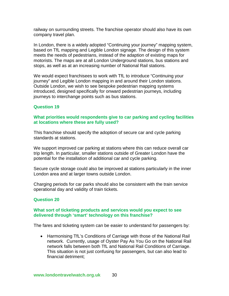railway on surrounding streets. The franchise operator should also have its own company travel plan.

In London, there is a widely adopted "Continuing your journey" mapping system, based on TfL mapping and Legible London signage. The design of this system meets the needs of pedestrians, instead of the adaption of existing maps for motorists. The maps are at all London Underground stations, bus stations and stops, as well as at an increasing number of National Rail stations.

We would expect franchisees to work with TfL to introduce "Continuing your journey" and Legible London mapping in and around their London stations. Outside London, we wish to see bespoke pedestrian mapping systems introduced, designed specifically for onward pedestrian journeys, including journeys to interchange points such as bus stations.

# **Question 19**

#### **What priorities would respondents give to car parking and cycling facilities at locations where these are fully used?**

This franchise should specify the adoption of secure car and cycle parking standards at stations.

We support improved car parking at stations where this can reduce overall car trip length. In particular, smaller stations outside of Greater London have the potential for the installation of additional car and cycle parking.

Secure cycle storage could also be improved at stations particularly in the inner London area and at larger towns outside London.

Charging periods for car parks should also be consistent with the train service operational day and validity of train tickets.

# **Question 20**

#### **What sort of ticketing products and services would you expect to see delivered through 'smart' technology on this franchise?**

The fares and ticketing system can be easier to understand for passengers by:

• Harmonising TfL's Conditions of Carriage with those of the National Rail network. Currently, usage of Oyster Pay As You Go on the National Rail network falls between both TfL and National Rail Conditions of Carriage. This situation is not just confusing for passengers, but can also lead to financial detriment;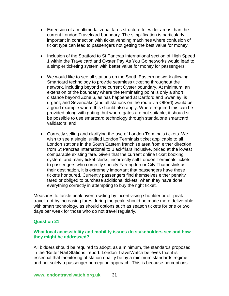- Extension of a multimodal zonal fares structure for wider areas than the current London Travelcard boundary. The simplification is particularly important in connection with ticket vending machines where confusion of ticket type can lead to passengers not getting the best value for money;
- Inclusion of the Stratford to St Pancras International section of High Speed 1 within the Travelcard and Oyster Pay As You Go networks would lead to a simpler ticketing system with better value for money for passengers;
- We would like to see all stations on the South Eastern network allowing Smartcard technology to provide seamless ticketing throughout the network, including beyond the current Oyster boundary. At minimum, an extension of the boundary where the terminating point is only a short distance beyond Zone 6, as has happened at Dartford and Swanley, is urgent, and Sevenoaks (and all stations on the route via Otford) would be a good example where this should also apply. Where required this can be provided along with gating, but where gates are not suitable, it should still be possible to use smartcard technology through standalone smartcard validators; and
- Correctly selling and clarifying the use of London Terminals tickets. We wish to see a single, unified London Terminals ticket applicable to all London stations in the South Eastern franchise area from either direction from St Pancras International to Blackfriars inclusive, priced at the lowest comparable existing fare. Given that the current online ticket booking system, and many ticket clerks, incorrectly sell London Terminals tickets to passengers who correctly specify Farringdon or City Thameslink as their destination, it is extremely important that passengers have these tickets honoured. Currently passengers find themselves either penalty fared or obliged to purchase additional tickets, when they have done everything correctly in attempting to buy the right ticket.

Measures to tackle peak overcrowding by incentivising shoulder or off-peak travel, not by increasing fares during the peak, should be made more deliverable with smart technology, as should options such as season tickets for one or two days per week for those who do not travel regularly.

# **Question 21**

#### **What local accessibility and mobility issues do stakeholders see and how they might be addressed?**

All bidders should be required to adopt, as a minimum, the standards proposed in the 'Better Rail Stations' report. London TravelWatch believes that it is essential that monitoring of station quality be by a minimum standards regime and not solely a passenger perception approach. This is because perceptions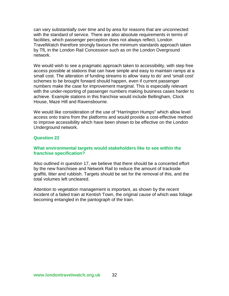can vary substantially over time and by area for reasons that are unconnected with the standard of service. There are also absolute requirements in terms of facilities, which passenger perception does not always reflect. London TravelWatch therefore strongly favours the minimum standards approach taken by TfL in the London Rail Concession such as on the London Overground network.

We would wish to see a pragmatic approach taken to accessibility, with step free access possible at stations that can have simple and easy to maintain ramps at a small cost. The alteration of funding streams to allow 'easy to do' and 'small cost' schemes to be brought forward should happen, even if current passenger numbers make the case for improvement marginal. This is especially relevant with the under-reporting of passenger numbers making business cases harder to achieve. Example stations in this franchise would include Bellingham, Clock House, Maze Hill and Ravensbourne.

We would like consideration of the use of "Harrington Humps" which allow level access onto trains from the platforms and would provide a cost-effective method to improve accessibility which have been shown to be effective on the London Underground network.

#### **Question 22**

#### **What environmental targets would stakeholders like to see within the franchise specification?**

Also outlined in question 17, we believe that there should be a concerted effort by the new franchisee and Network Rail to reduce the amount of trackside graffiti, litter and rubbish. Targets should be set for the removal of this, and the total volumes left uncleared.

Attention to vegetation management is important, as shown by the recent incident of a failed train at Kentish Town, the original cause of which was foliage becoming entangled in the pantograph of the train.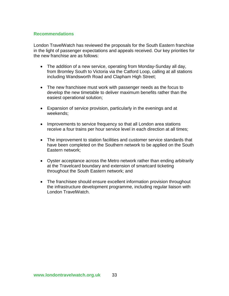# **Recommendations**

London TravelWatch has reviewed the proposals for the South Eastern franchise in the light of passenger expectations and appeals received. Our key priorities for the new franchise are as follows:

- The addition of a new service, operating from Monday-Sunday all day, from Bromley South to Victoria via the Catford Loop, calling at all stations including Wandsworth Road and Clapham High Street;
- The new franchisee must work with passenger needs as the focus to develop the new timetable to deliver maximum benefits rather than the easiest operational solution;
- Expansion of service provision, particularly in the evenings and at weekends;
- Improvements to service frequency so that all London area stations receive a four trains per hour service level in each direction at all times;
- The improvement to station facilities and customer service standards that have been completed on the Southern network to be applied on the South Eastern network;
- Oyster acceptance across the Metro network rather than ending arbitrarily at the Travelcard boundary and extension of smartcard ticketing throughout the South Eastern network; and
- The franchisee should ensure excellent information provision throughout the infrastructure development programme, including regular liaison with London TravelWatch.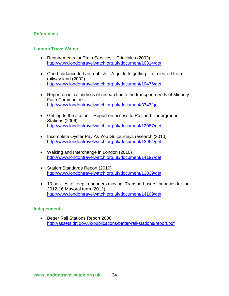# **References**

# **London TravelWatch**

- Requirements for Train Services Principles (2003) <http://www.londontravelwatch.org.uk/document/10314/get>
- Good riddance to bad rubbish A guide to getting litter cleared from railway land (2002) <http://www.londontravelwatch.org.uk/document/10476/get>
- Report on initial findings of research into the transport needs of Minority Faith Communities <http://www.londontravelwatch.org.uk/document/3747/get>
- Getting to the station Report on access to Rail and Underground Stations (2006) <http://www.londontravelwatch.org.uk/document/12087/get>
- Incomplete Oyster Pay As You Go journeys research (2010) <http://www.londontravelwatch.org.uk/document/13964/get>
- Walking and Interchange in London (2010) <http://www.londontravelwatch.org.uk/document/14197/get>
- Station Standards Report (2010) <http://www.londontravelwatch.org.uk/document/13839/get>
- 10 policies to keep Londoners moving: Transport users' priorities for the 2012-16 Mayoral term (2012) <http://www.londontravelwatch.org.uk/document/14109/get>

# **Independent**

• Better Rail Stations Report 2006: <http://assets.dft.gov.uk/publications/better-rail-stations/report.pdf>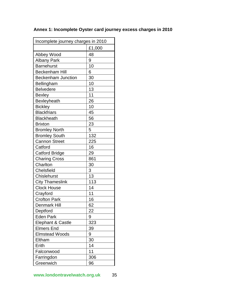| Incomplete journey charges in 2010 |        |  |
|------------------------------------|--------|--|
|                                    | £1,000 |  |
| Abbey Wood                         | 48     |  |
| <b>Albany Park</b>                 | 9      |  |
| <b>Barnehurst</b>                  | 10     |  |
| <b>Beckenham Hill</b>              | 6      |  |
| <b>Beckenham Junction</b>          | 30     |  |
| Bellingham                         | 10     |  |
| <b>Belvedere</b>                   | 13     |  |
| <b>Bexley</b>                      | 11     |  |
| <b>Bexleyheath</b>                 | 26     |  |
| <b>Bickley</b>                     | 10     |  |
| <b>Blackfriars</b>                 | 45     |  |
| <b>Blackheath</b>                  | 56     |  |
| <b>Brixton</b>                     | 23     |  |
| <b>Bromley North</b>               | 5      |  |
| <b>Bromley South</b>               | 132    |  |
| <b>Cannon Street</b>               | 225    |  |
| Catford                            | 16     |  |
| <b>Catford Bridge</b>              | 29     |  |
| <b>Charing Cross</b>               | 861    |  |
| Charlton                           | 30     |  |
| Chelsfield                         | 3      |  |
| <b>Chislehurst</b>                 | 13     |  |
| <b>City Thameslink</b>             | 113    |  |
| <b>Clock House</b>                 | 14     |  |
| Crayford                           | 11     |  |
| <b>Crofton Park</b>                | 16     |  |
| Denmark Hill                       | 62     |  |
| Deptford                           | 22     |  |
| <b>Eden Park</b>                   | 9      |  |
| Elephant & Castle                  | 323    |  |
| <b>Elmers End</b>                  | 39     |  |
| <b>Elmstead Woods</b>              | 9      |  |
| Eltham                             | 30     |  |
| Erith                              | 14     |  |
| Falconwood                         | 11     |  |
| Farringdon                         | 306    |  |
| Greenwich                          | 96     |  |

# **Annex 1: Incomplete Oyster card journey excess charges in 2010**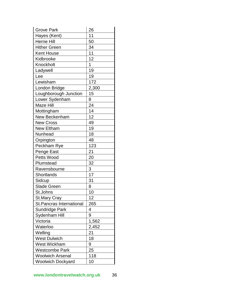| <b>Grove Park</b>               | 26    |
|---------------------------------|-------|
| Hayes (Kent)                    | 11    |
| <b>Herne Hill</b>               | 50    |
| <b>Hither Green</b>             | 34    |
| <b>Kent House</b>               | 11    |
| Kidbrooke                       | 12    |
| Knockholt                       | 1     |
| Ladywell                        | 19    |
| Lee                             | 19    |
| Lewisham                        | 172   |
| London Bridge                   | 2,300 |
| Loughborough Junction           | 15    |
| Lower Sydenham                  | 8     |
| Maze Hill                       | 24    |
| Mottingham                      | 14    |
| New Beckenham                   | 12    |
| <b>New Cross</b>                | 49    |
| <b>New Eltham</b>               | 19    |
| Nunhead                         | 18    |
| Orpington                       | 48    |
| Peckham Rye                     | 123   |
| Penge East                      | 21    |
| Petts Wood                      | 20    |
| Plumstead                       | 32    |
| Ravensbourne                    | 3     |
| Shortlands                      | 17    |
| Sidcup                          | 31    |
| <b>Slade Green</b>              | 8     |
| St.Johns                        | 10    |
| <b>St.Mary Cray</b>             | 12    |
| <b>St.Pancras International</b> | 265   |
| Sundridge Park                  | 4     |
| Sydenham Hill                   | 9     |
| Victoria                        | 1,562 |
| Waterloo                        | 2,452 |
| Welling                         | 21    |
| <b>West Dulwich</b>             | 18    |
| <b>West Wickham</b>             | 9     |
| <b>Westcombe Park</b>           | 25    |
| <b>Woolwich Arsenal</b>         | 118   |
| <b>Woolwich Dockyard</b>        | 10    |